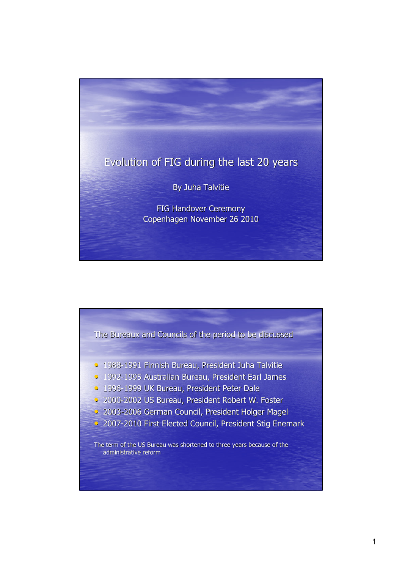

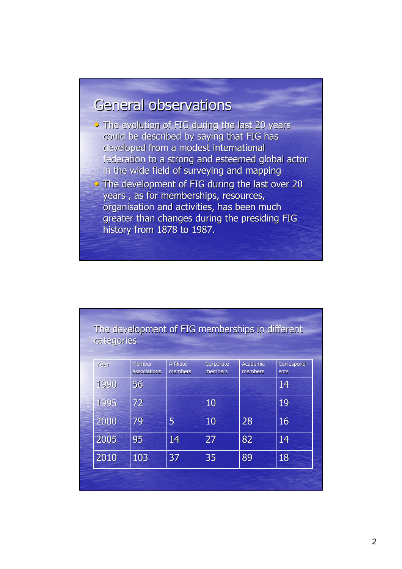# General observations

- $\overline{\phantom{a}}$  The evolution of FIG during the last 20 years could be described by saying that FIG has developed from a modest international federation to a strong and esteemed global actor in the wide field of surveying and mapping
- The development of FIG during the last over 20 years, as for memberships, resources, organisation and activities, has been much greater than changes during the presiding FIG history from 1878 to 1987.

| categories |                               |                             |                      | The development of FIG memberships in different |                     |
|------------|-------------------------------|-----------------------------|----------------------|-------------------------------------------------|---------------------|
| Year       | <b>Member</b><br>associations | <b>Affiliate</b><br>members | Corporate<br>members | Academic<br>members                             | Correspond-<br>ents |
| 1990       | 56                            |                             |                      |                                                 | 14                  |
| 1995       | 72                            |                             | 10                   |                                                 | 19                  |
| 2000       | 79                            | 5                           | 10                   | 28                                              | 16                  |
| 2005       | 95                            | 14                          | 27                   | 82                                              | 14                  |
| 2010       | 103                           | 37                          | 35                   | 89                                              | 18                  |
|            |                               |                             |                      |                                                 |                     |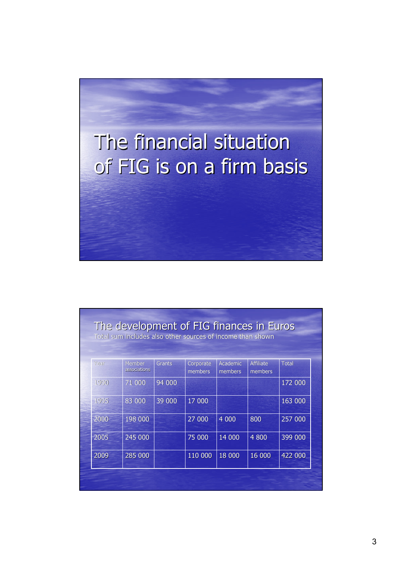

|      | The development of FIG finances in Euros<br>Total sum includes also other sources of income than shown |               |                      |                     |                             |              |
|------|--------------------------------------------------------------------------------------------------------|---------------|----------------------|---------------------|-----------------------------|--------------|
| Year | Member<br>associations                                                                                 | <b>Grants</b> | Corporate<br>members | Academic<br>members | <b>Affiliate</b><br>members | <b>Total</b> |
| 1990 | 71 000                                                                                                 | 94 000        |                      |                     |                             | 172 000      |
| 1995 | 83 000                                                                                                 | 39 000        | 17 000               |                     |                             | 163 000      |
| 2000 | 198 000                                                                                                |               | 27 000               | 4 0 0 0             | 800                         | 257 000      |
| 2005 | 245 000                                                                                                |               | 75 000               | 14 000              | 4800                        | 399 000      |
| 2009 | 285 000                                                                                                |               | 110 000              | 18 000              | 16 000                      | 422 000      |
|      |                                                                                                        |               |                      |                     |                             |              |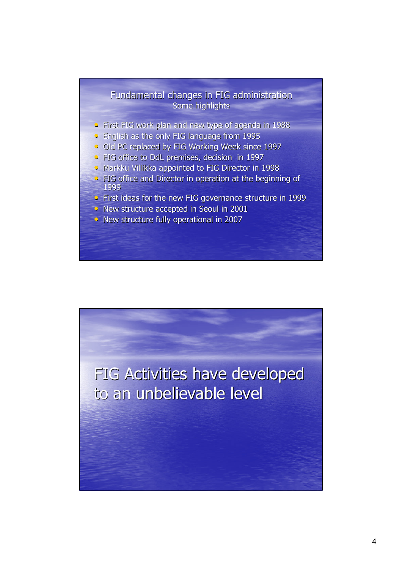## Fundamental changes in FIG administration Some highlights

- First FIG work plan and new type of agenda in 1988
- English as the only FIG language from 1995
- Old PC replaced by FIG Working Week since 1997
- FIG office to DdL premises, decision in 1997
- Markku Villikka appointed to FIG Director in 1998
- $\bullet$  FIG office and Director in operation at the beginning of 1999
- First ideas for the new FIG governance structure in 1999
- New structure accepted in Seoul in 2001
- New structure fully operational in 2007

FIG Activities have developed to an unbelievable level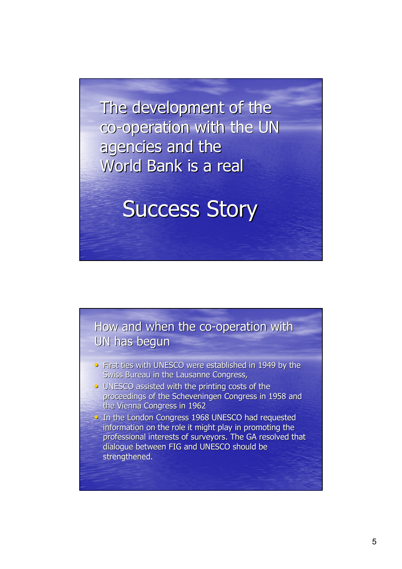The development of the co-operation with the UN agencies and the World Bank is a real

**Success Story** 



- First ties with UNESCO were established in 1949 by the Swiss Bureau in the Lausanne Congress,
- $\bullet$  UNESCO assisted with the printing costs of the proceedings of the Scheveningen Congress in 1958 and the Vienna Congress in 1962
- In the London Congress 1968 UNESCO had requested information on the role it might play in promoting the professional interests of surveyors. The GA resolved that dialogue between FIG and UNESCO should be strengthened.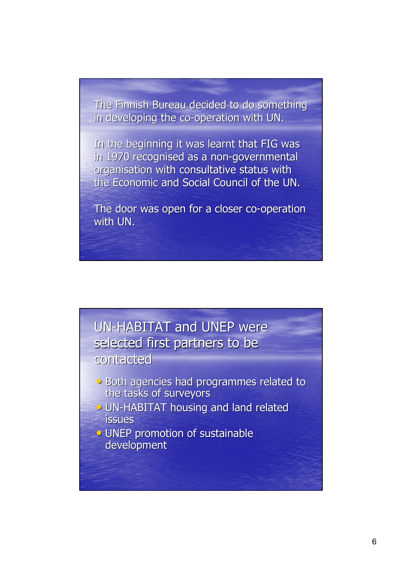The Finnish Bureau decided to do something in developing the co-operation with UN.

In the beginning it was learnt that FIG was in 1970 recognised as a non-governmental organisation with consultative status with the Economic and Social Council of the UN.

The door was open for a closer co-operation with UN.



- Both agencies had programmes related to the tasks of surveyors
- UN-HABITAT housing and land related issues
- UNEP promotion of sustainable development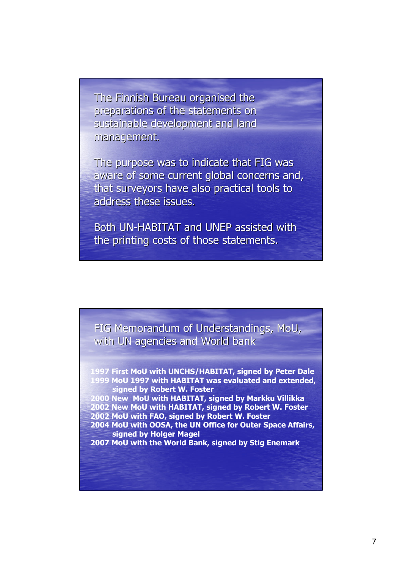The Finnish Bureau organised the preparations of the statements on sustainable development and land management. management.

The purpose was to indicate that FIG was aware of some current global concerns and, that surveyors have also practical tools to address these issues.

Both UN-HABITAT and UNEP assisted with the printing costs of those statements.

FIG Memorandum of Understandings, MoU, with UN agencies and World bank

**1997 First MoU with UNCHS/HABITAT, signed by Peter Dale 1999 MoU 1997 with HABITAT was evaluated and extended, signed by Robert W. Foster 2000 New MoU with HABITAT, signed by Markku Villikka 2002 New MoU with HABITAT, signed by Robert W. Foster 2002 MoU with FAO, signed by Robert W. Foster**

**2004 MoU with OOSA, the UN Office for Outer Space Affairs, signed by Holger Magel**

**2007 MoU with the World Bank, signed by Stig Enemark**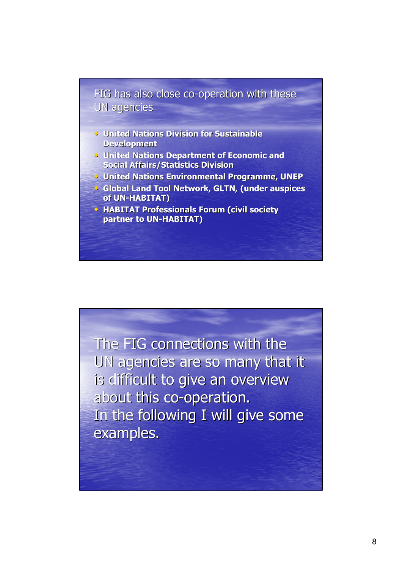#### FIG has also close co-operation with these UN agencies

- **United Nations Division for Sustainable Development**
- **United Nations Department of Economic and Social Affairs/Statistics Division**
- **United Nations Environmental Programme, UNEP**
- **Global Land Tool Network, GLTN, (under auspices**  $of UN-HABITAT)$
- **HABITAT Professionals Forum (civil society partner to UN-HABITAT)**

The FIG connections with the UN agencies are so many that it is difficult to give an overview about this co-operation. In the following I will give some examples.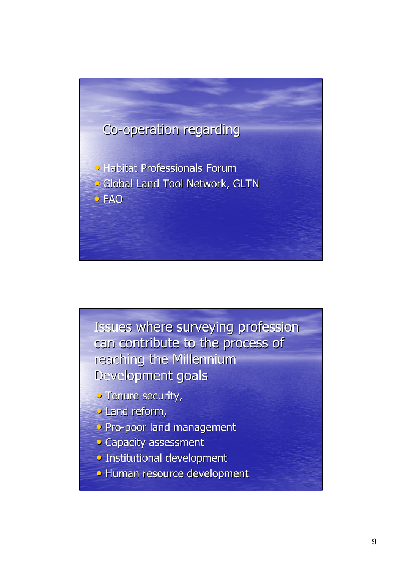

Issues where surveying profession can contribute to the process of reaching the Millennium Development goals

- Tenure security,
- Land reform,
- Pro-poor land management
- Capacity assessment
- Institutional development
- Human resource development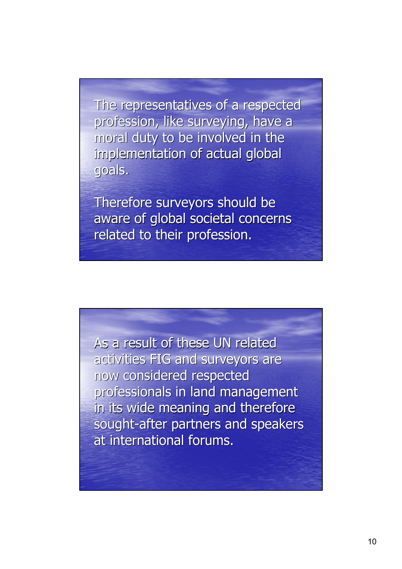The representatives of a respected profession, like surveying, have a moral duty to be involved in the implementation of actual global goals.

Therefore surveyors should be aware of global societal concerns related to their profession.

As a result of these UN related activities FIG and surveyors are now considered respected professionals in land management in its wide meaning and therefore sought-after partners and speakers at international forums.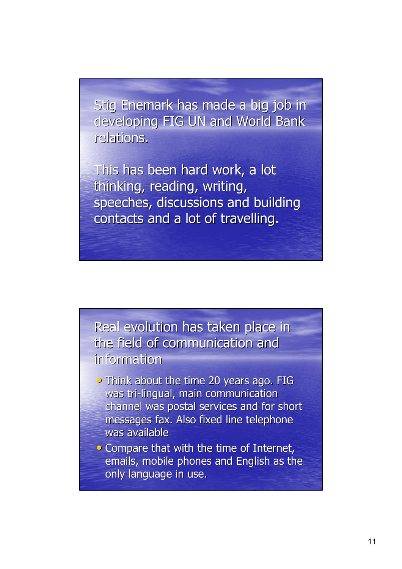Stig Enemark has made a big job in developing FIG UN and World Bank relations.

This has been hard work, a lot thinking, reading, writing, speeches, discussions and building contacts and a lot of travelling.

Real evolution has taken place in the field of communication and information

- Think about the time 20 years ago. FIG was tri-lingual, main communication channel was postal services and for short messages fax. Also fixed line telephone was available
- $\bullet$  Compare that with the time of Internet, emails, mobile phones and English as the only language in use.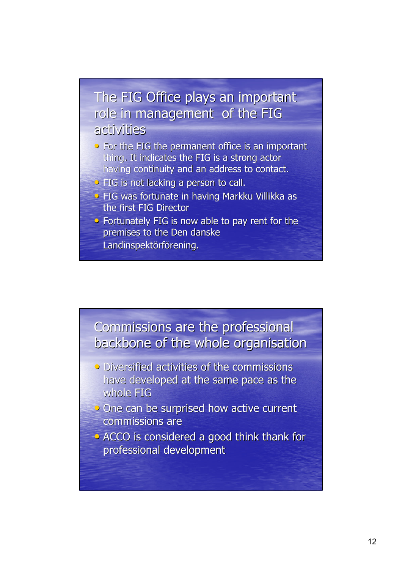## The FIG Office plays an important role in management of the FIG activities

- For the FIG the permanent office is an important thing. It indicates the FIG is a strong actor having continuity and an address to contact.
- $\overline{\bullet}$  FIG is not lacking a person to call.
- **FIG was fortunate in having Markku Villikka as** the first FIG Director
- Fortunately FIG is now able to pay rent for the premises to the Den danske Landinspektörförening.



- Diversified activities of the commissions have developed at the same pace as the whole FIG
- One can be surprised how active current commissions are
- $\rightarrow$  ACCO is considered a good think thank for professional development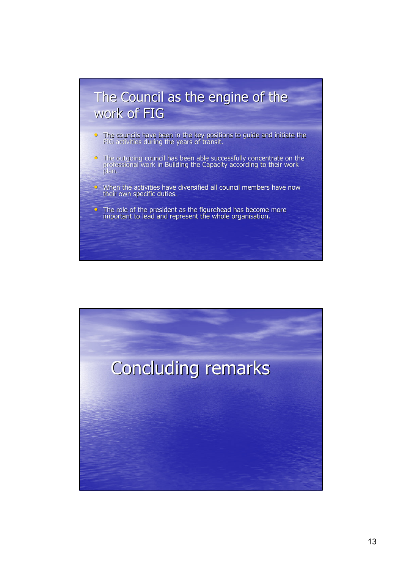## The Council as the engine of the work of FIG

- $\bullet$  The councils have been in the key positions to guide and initiate the FIG activities during the years of transit.
- The outgoing council has been able successfully concentrate on the professional work in Building the Capacity according to their work plan.
- $\bullet$  When the activities have diversified all council members have now their own specific duties.
- $\bullet$  The role of the president as the figurehead has become more important to lead and represent the whole organisation.

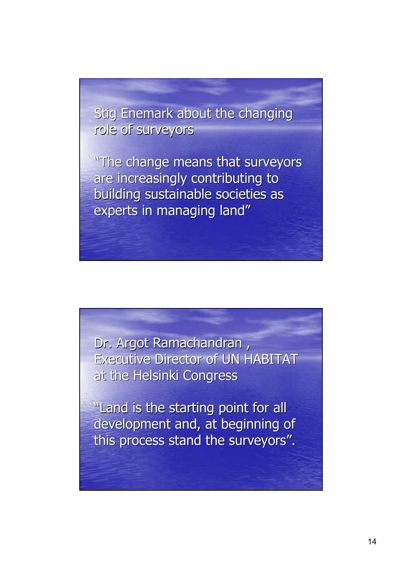Stig Enemark about the changing role of surveyors

"The change means that surveyors are increasingly contributing to building sustainable societies as experts in managing land"

Dr. Argot Ramachandran, Executive Director of UN HABITAT at the Helsinki Congress

"Land is the starting point for all development and, at beginning of this process stand the surveyors".